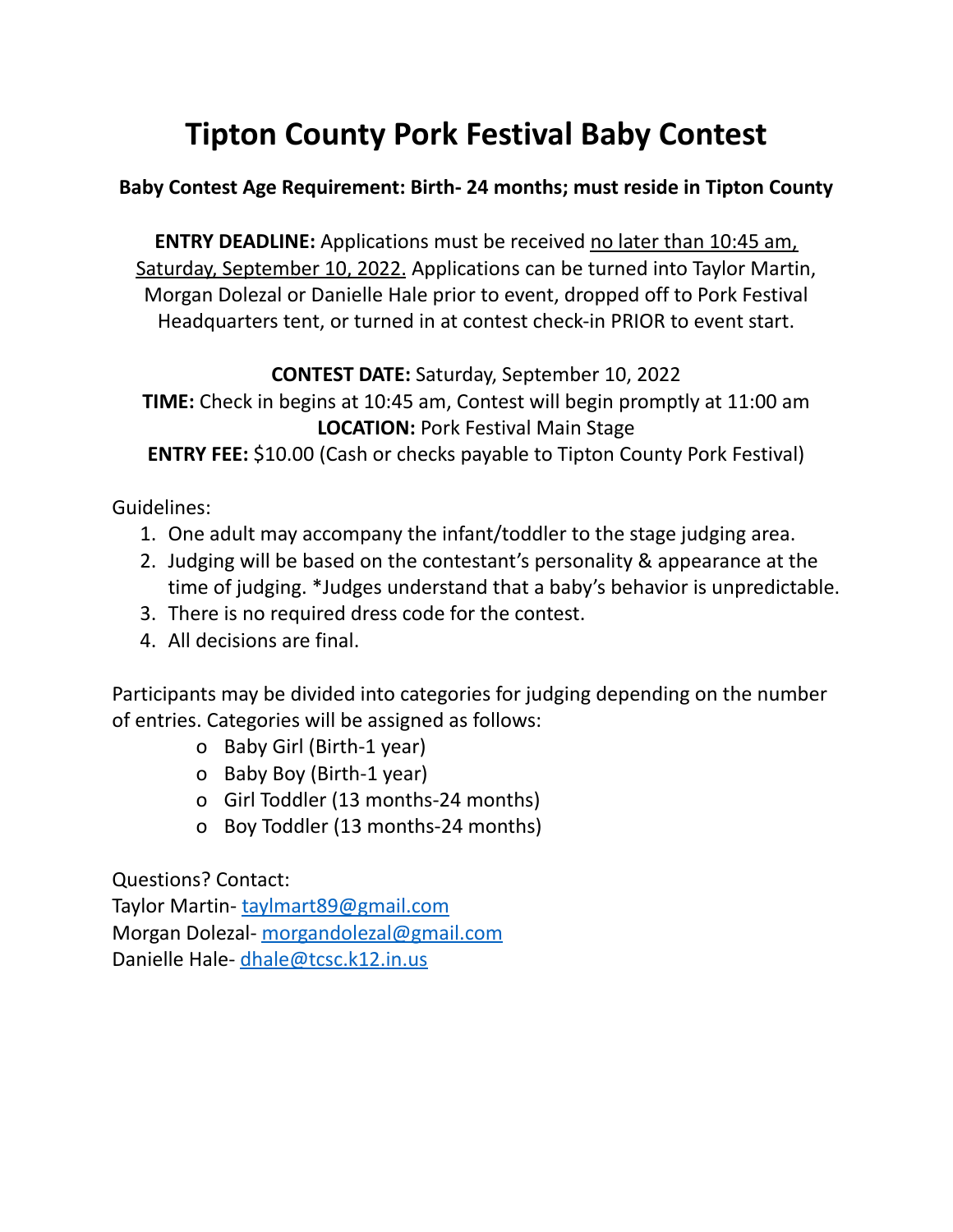## **Tipton County Pork Festival Baby Contest**

## **Baby Contest Age Requirement: Birth- 24 months; must reside in Tipton County**

**ENTRY DEADLINE:** Applications must be received no later than 10:45 am, Saturday, September 10, 2022. Applications can be turned into Taylor Martin, Morgan Dolezal or Danielle Hale prior to event, dropped off to Pork Festival Headquarters tent, or turned in at contest check-in PRIOR to event start.

**CONTEST DATE:** Saturday, September 10, 2022

**TIME:** Check in begins at 10:45 am, Contest will begin promptly at 11:00 am **LOCATION:** Pork Festival Main Stage

**ENTRY FEE:** \$10.00 (Cash or checks payable to Tipton County Pork Festival)

Guidelines:

- 1. One adult may accompany the infant/toddler to the stage judging area.
- 2. Judging will be based on the contestant's personality & appearance at the time of judging. \*Judges understand that a baby's behavior is unpredictable.
- 3. There is no required dress code for the contest.
- 4. All decisions are final.

Participants may be divided into categories for judging depending on the number of entries. Categories will be assigned as follows:

- o Baby Girl (Birth-1 year)
- o Baby Boy (Birth-1 year)
- o Girl Toddler (13 months-24 months)
- o Boy Toddler (13 months-24 months)

Questions? Contact:

Taylor Martin- [taylmart89@gmail.com](mailto:taylmart89@gmail.com) Morgan Dolezal- [morgandolezal@gmail.com](mailto:morgandolezal@gmail.com) Danielle Hale- [dhale@tcsc.k12.in.us](mailto:dhale@tcsc.k12.in.us)